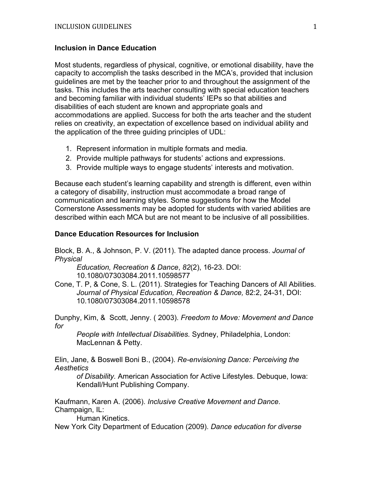## **Inclusion in Dance Education**

Most students, regardless of physical, cognitive, or emotional disability, have the capacity to accomplish the tasks described in the MCA's, provided that inclusion guidelines are met by the teacher prior to and throughout the assignment of the tasks. This includes the arts teacher consulting with special education teachers and becoming familiar with individual students' IEPs so that abilities and disabilities of each student are known and appropriate goals and accommodations are applied. Success for both the arts teacher and the student relies on creativity, an expectation of excellence based on individual ability and the application of the three guiding principles of UDL:

- 1. Represent information in multiple formats and media.
- 2. Provide multiple pathways for students' actions and expressions.
- 3. Provide multiple ways to engage students' interests and motivation.

Because each student's learning capability and strength is different, even within a category of disability, instruction must accommodate a broad range of communication and learning styles. Some suggestions for how the Model Cornerstone Assessments may be adopted for students with varied abilities are described within each MCA but are not meant to be inclusive of all possibilities.

## **Dance Education Resources for Inclusion**

Block, B. A., & Johnson, P. V. (2011). The adapted dance process. *Journal of Physical*

*Education, Recreation & Dance*, *82*(2), 16-23. DOI: 10.1080/07303084.2011.10598577

Cone, T. P, & Cone, S. L. (2011). Strategies for Teaching Dancers of All Abilities. *Journal of Physical Education, Recreation & Dance,* 82:2, 24-31, DOI: 10.1080/07303084.2011.10598578

Dunphy, Kim, & Scott, Jenny. ( 2003). *Freedom to Move: Movement and Dance for*

*People with Intellectual Disabilities.* Sydney, Philadelphia, London: MacLennan & Petty.

Elin, Jane, & Boswell Boni B., (2004). *Re-envisioning Dance: Perceiving the Aesthetics*

*of Disability.* American Association for Active Lifestyles. Debuque, Iowa: Kendall/Hunt Publishing Company.

Kaufmann, Karen A. (2006). *Inclusive Creative Movement and Dance*. Champaign, IL:

Human Kinetics.

New York City Department of Education (2009). *Dance education for diverse*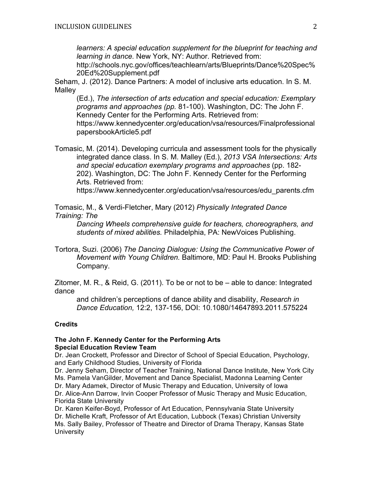*learners: A special education supplement for the blueprint for teaching and learning in dance.* New York, NY: Author. Retrieved from:

http://schools.nyc.gov/offices/teachlearn/arts/Blueprints/Dance%20Spec% 20Ed%20Supplement.pdf

Seham, J. (2012). Dance Partners: A model of inclusive arts education. In S. M. Malley

(Ed.), *The intersection of arts education and special education: Exemplary programs and approaches (pp.* 81-100). Washington, DC: The John F. Kennedy Center for the Performing Arts. Retrieved from: https://www.kennedycenter.org/education/vsa/resources/Finalprofessional papersbookArticle5.pdf

Tomasic, M. (2014). Developing curricula and assessment tools for the physically integrated dance class. In S. M. Malley (Ed.), *2013 VSA Intersections: Arts and special education exemplary programs and approaches* (pp. 182- 202). Washington, DC: The John F. Kennedy Center for the Performing Arts. Retrieved from:

https://www.kennedycenter.org/education/vsa/resources/edu\_parents.cfm

Tomasic, M., & Verdi-Fletcher, Mary (2012) *Physically Integrated Dance Training: The*

*Dancing Wheels comprehensive guide for teachers, choreographers, and students of mixed abilities.* Philadelphia, PA: NewVoices Publishing.

Tortora, Suzi. (2006) *The Dancing Dialogue: Using the Communicative Power of Movement with Young Children.* Baltimore, MD: Paul H. Brooks Publishing Company.

Zitomer, M. R., & Reid, G. (2011). To be or not to be – able to dance: Integrated dance

and children's perceptions of dance ability and disability, *Research in Dance Education,* 12:2, 137-156, DOI: 10.1080/14647893.2011.575224

## **Credits**

## **The John F. Kennedy Center for the Performing Arts Special Education Review Team**

Dr. Jean Crockett, Professor and Director of School of Special Education, Psychology, and Early Childhood Studies, University of Florida

Dr. Jenny Seham, Director of Teacher Training, National Dance Institute, New York City Ms. Pamela VanGilder, Movement and Dance Specialist, Madonna Learning Center Dr. Mary Adamek, Director of Music Therapy and Education, University of Iowa Dr. Alice-Ann Darrow, Irvin Cooper Professor of Music Therapy and Music Education, Florida State University

Dr. Karen Keifer-Boyd, Professor of Art Education, Pennsylvania State University Dr. Michelle Kraft, Professor of Art Education, Lubbock (Texas) Christian University Ms. Sally Bailey, Professor of Theatre and Director of Drama Therapy, Kansas State **University**